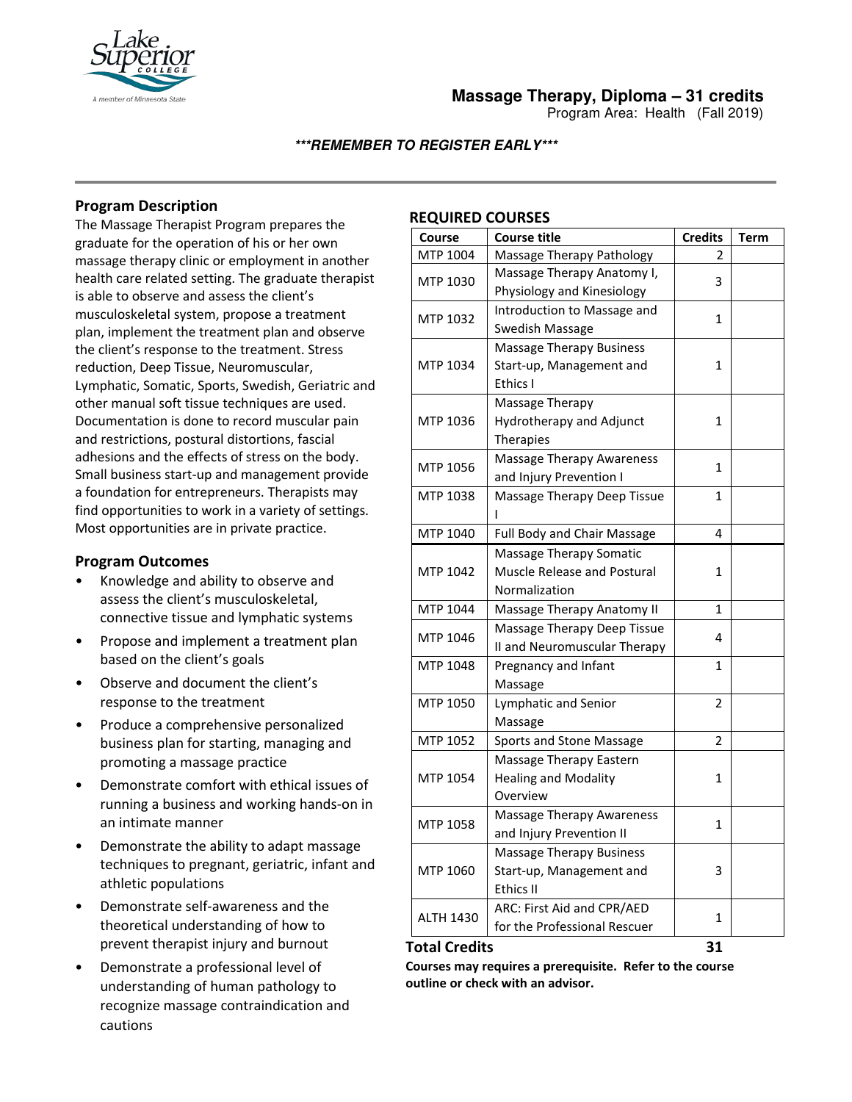

Program Area: Health (Fall 2019)

## **\*\*\*REMEMBER TO REGISTER EARLY\*\*\***

## **Program Description**

The Massage Therapist Program prepares the graduate for the operation of his or her own massage therapy clinic or employment in another health care related setting. The graduate therapist is able to observe and assess the client's musculoskeletal system, propose a treatment plan, implement the treatment plan and observe the client's response to the treatment. Stress reduction, Deep Tissue, Neuromuscular, Lymphatic, Somatic, Sports, Swedish, Geriatric and other manual soft tissue techniques are used. Documentation is done to record muscular pain and restrictions, postural distortions, fascial adhesions and the effects of stress on the body. Small business start-up and management provide a foundation for entrepreneurs. Therapists may find opportunities to work in a variety of settings. Most opportunities are in private practice.

## **Program Outcomes**

- Knowledge and ability to observe and assess the client's musculoskeletal, connective tissue and lymphatic systems
- Propose and implement a treatment plan based on the client's goals
- Observe and document the client's response to the treatment
- Produce a comprehensive personalized business plan for starting, managing and promoting a massage practice
- Demonstrate comfort with ethical issues of running a business and working hands-on in an intimate manner
- Demonstrate the ability to adapt massage techniques to pregnant, geriatric, infant and athletic populations
- Demonstrate self-awareness and the theoretical understanding of how to prevent therapist injury and burnout
- Demonstrate a professional level of understanding of human pathology to recognize massage contraindication and cautions

## **REQUIRED COURSES**

| <b>Course</b>    | <b>Course title</b>              | <b>Credits</b> | <b>Term</b> |
|------------------|----------------------------------|----------------|-------------|
| MTP 1004         | Massage Therapy Pathology        | 2              |             |
| MTP 1030         | Massage Therapy Anatomy I,       | 3              |             |
|                  | Physiology and Kinesiology       |                |             |
| MTP 1032         | Introduction to Massage and      | 1              |             |
|                  | Swedish Massage                  |                |             |
| MTP 1034         | <b>Massage Therapy Business</b>  | 1              |             |
|                  | Start-up, Management and         |                |             |
|                  | Ethics I                         |                |             |
| MTP 1036         | Massage Therapy                  | 1              |             |
|                  | Hydrotherapy and Adjunct         |                |             |
|                  | <b>Therapies</b>                 |                |             |
| MTP 1056         | <b>Massage Therapy Awareness</b> | 1              |             |
|                  | and Injury Prevention I          |                |             |
| MTP 1038         | Massage Therapy Deep Tissue<br>ı | 1              |             |
| MTP 1040         | Full Body and Chair Massage      | 4              |             |
| MTP 1042         | Massage Therapy Somatic          | 1              |             |
|                  | Muscle Release and Postural      |                |             |
|                  | Normalization                    |                |             |
| MTP 1044         | Massage Therapy Anatomy II       | 1              |             |
| MTP 1046         | Massage Therapy Deep Tissue      | 4              |             |
|                  | II and Neuromuscular Therapy     |                |             |
| MTP 1048         | Pregnancy and Infant             | $\mathbf{1}$   |             |
|                  | Massage                          |                |             |
| MTP 1050         | Lymphatic and Senior             | 2              |             |
|                  | Massage                          |                |             |
| MTP 1052         | Sports and Stone Massage         | $\overline{2}$ |             |
| MTP 1054         | Massage Therapy Eastern          | 1              |             |
|                  | <b>Healing and Modality</b>      |                |             |
|                  | Overview                         |                |             |
| MTP 1058         | <b>Massage Therapy Awareness</b> | 1              |             |
|                  | and Injury Prevention II         |                |             |
| MTP 1060         | <b>Massage Therapy Business</b>  | 3              |             |
|                  | Start-up, Management and         |                |             |
|                  | <b>Ethics II</b>                 |                |             |
| <b>ALTH 1430</b> | ARC: First Aid and CPR/AED       | 1              |             |
|                  | for the Professional Rescuer     |                |             |

#### **Total Credits 31**

**Courses may requires a prerequisite. Refer to the course outline or check with an advisor.**